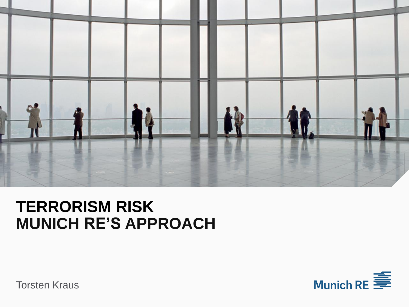

## **TERRORISM RISK MUNICH RE'S APPROACH**



Torsten Kraus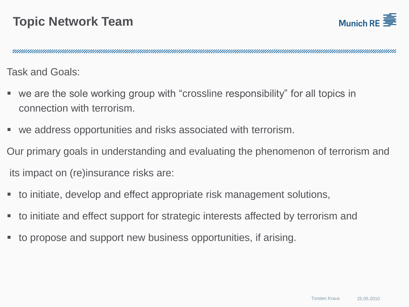

#### a katalogi kacamatan ing kacamatan ing kacamatan ing kacamatan ing kacamatan ing kacamatan ing kacamatan ing k

Task and Goals:

- we are the sole working group with "crossline responsibility" for all topics in connection with terrorism.
- we address opportunities and risks associated with terrorism.
- Our primary goals in understanding and evaluating the phenomenon of terrorism and its impact on (re)insurance risks are:
- to initiate, develop and effect appropriate risk management solutions,
- to initiate and effect support for strategic interests affected by terrorism and
- to propose and support new business opportunities, if arising.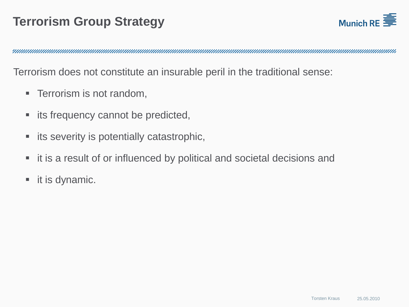

### 

Terrorism does not constitute an insurable peril in the traditional sense:

- **Terrorism is not random,**
- **EXITE: its frequency cannot be predicted,**
- **EXECUTE:** its severity is potentially catastrophic,
- it is a result of or influenced by political and societal decisions and
- **i** it is dynamic.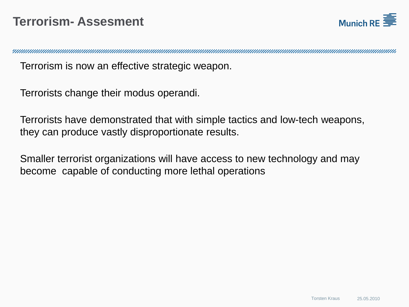

a katalogi kacamatan ing kacamatan ing kacamatan ing kacamatan ing kacamatan ing kacamatan ing kacamatan ing k

Terrorism is now an effective strategic weapon.

Terrorists change their modus operandi.

Terrorists have demonstrated that with simple tactics and low-tech weapons, they can produce vastly disproportionate results.

Smaller terrorist organizations will have access to new technology and may become capable of conducting more lethal operations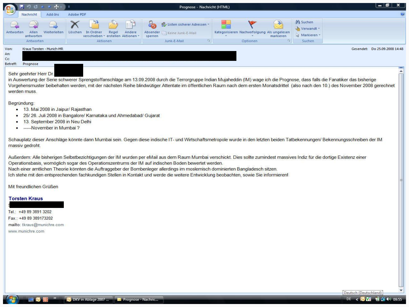| $\mathbf{G}_n$<br>بمرور        | 近々 も 売り す<br>Prognose - Nachricht (HTML) |                           |                                                                                                     |                                                                                                         |                                                         | $\begin{array}{c c c c c c} \hline \textbf{} & \textbf{} \end{array}$                |                               |
|--------------------------------|------------------------------------------|---------------------------|-----------------------------------------------------------------------------------------------------|---------------------------------------------------------------------------------------------------------|---------------------------------------------------------|--------------------------------------------------------------------------------------|-------------------------------|
|                                | Nachricht                                | Add-Ins                   | Adobe PDF                                                                                           |                                                                                                         |                                                         |                                                                                      | $\odot$                       |
| $> -4$<br>Antworten            | Allen<br>antworten<br>Antworten          | $\sim$<br>Weiterleiten    | F<br>A<br>Andere<br>In Ordner<br>Löschen<br>Regel<br>verschieben * erstellen Aktionen *<br>Aktionen | Et Listen sicherer Adressen ~<br>œ<br>Absender <b>Keine Junk-E-Mail</b><br>sperren<br>握。<br>Junk-E-Mail | Kategorisieren Nachverfolgung Als ungelesen<br>Optionen | <b>A</b> Suchen<br>D<br>Verwandt *<br>Markieren<br>markieren<br>Suchen<br><b>The</b> |                               |
| Von:<br>An:<br>Cc:<br>Betreff: | Prognose                                 | Kraus Torsten - Munich-MR |                                                                                                     |                                                                                                         |                                                         |                                                                                      | Gesendet: Do 25.09.2008 14:48 |

#### Sehr geehrter Herr Dr.

in Auswertung der Serie schwerer Sprengstoffanschläge am 13.09.2008 durch die Terrorgruppe Indian Mujaheddin (IM) wage ich die Prognose, dass falls die Fanatiker das bisherige Vorgehensmuster beibehalten werden, mit der nächsten Reihe blindwütiger Attentate im öffentlichen Raum nach dem ersten Monatsdrittel (also nach den 10.) des November 2008 gerechnet werden muss

#### Begründung:

- 13. Mai 2008 in Jaipur/ Rajasthan
- 25/26. Juli 2008 in Bangalore/ Karnataka und Ahmedabad/ Gujarat
- 13. September 2008 in Neu Delhi
- ----November in Mumbai?

Schauplatz dieser Anschläge könnte dann Mumbai sein. Gegen diese indische IT- und Wirtschaftsmetropole wurde in den letzten beiden Tatbekennungen/ Bekennungsschreiben der IM massiv gedroht.

Außerdem: Alle bisherigen Selbstbezichtigungen der IM wurden per eMail aus dem Raum Mumbai verschickt. Dies sollte zumindest massives Indiz für die dortige Existenz einer Operationsbasis, womöglich sogar des Operationszentrums der IM auf indischen Boden bewertet werden. Nach einer amtlichen Theorie könnten die Auftraggeber der Bombenleger allerdings im moslemisch dominierten Bangladesch sitzen. Ich stehe mit den entsprechenden fachkundigen Stellen in Kontakt und werde die weitere Entwicklung beobachten, sowie Sie informieren!

Mit freundlichen Grüßen

#### **Torsten Kraus**

Tel.: +49 89 3891 3202 Fax.: +49 89 389173202 mailto: tkraus@munichre.com www.munichre.com

Deutsch (Deutschland)

 $DE \leftarrow \left[ \begin{array}{cc} 0 & 1 \end{array} \right]$   $\left[ \begin{array}{cc} 1 & 0 \end{array} \right]$  09:55

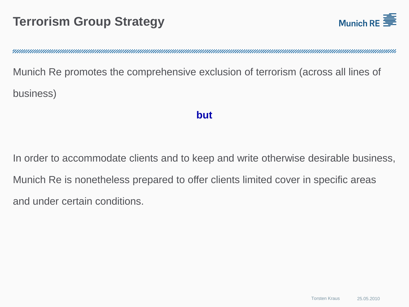

Munich Re promotes the comprehensive exclusion of terrorism (across all lines of business)

a katalogi kacamatan ing kacamatan ing kacamatan ing kacamatan ing kacamatan ing kacamatan ing kacamatan ing k

## **but**

In order to accommodate clients and to keep and write otherwise desirable business, Munich Re is nonetheless prepared to offer clients limited cover in specific areas and under certain conditions.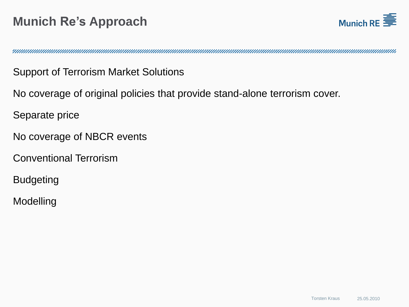

Support of Terrorism Market Solutions

No coverage of original policies that provide stand-alone terrorism cover.

Separate price

No coverage of NBCR events

Conventional Terrorism

Budgeting

Modelling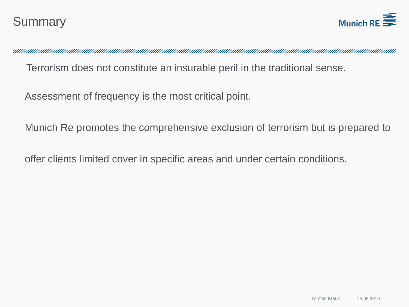

### 

Terrorism does not constitute an insurable peril in the traditional sense.

Assessment of frequency is the most critical point.

Munich Re promotes the comprehensive exclusion of terrorism but is prepared to

offer clients limited cover in specific areas and under certain conditions.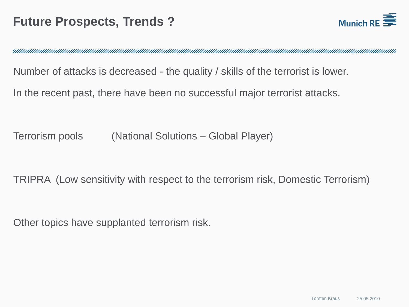

Number of attacks is decreased - the quality / skills of the terrorist is lower.

a katalogi kacamatan ing kacamatan ing kacamatan ing kacamatan ing kacamatan ing kacamatan ing kacamatan ing k

In the recent past, there have been no successful major terrorist attacks.

Terrorism pools (National Solutions – Global Player)

TRIPRA (Low sensitivity with respect to the terrorism risk, Domestic Terrorism)

Other topics have supplanted terrorism risk.